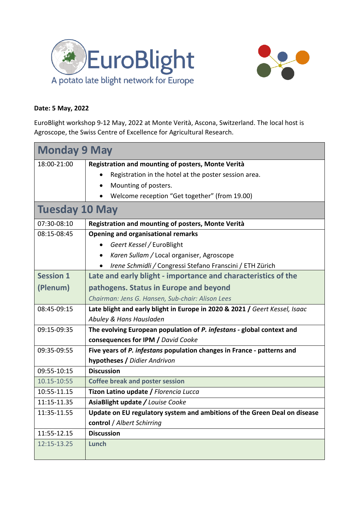



## **Date: 5 May, 2022**

EuroBlight workshop 9-12 May, 2022 at Monte Verità, Ascona, Switzerland. The local host is [Agroscope,](https://www.agroscope.admin.ch/agroscope/de/home.html) the Swiss Centre of Excellence for Agricultural Research.

| <b>Monday 9 May</b>   |                                                                             |
|-----------------------|-----------------------------------------------------------------------------|
| 18:00-21:00           | Registration and mounting of posters, Monte Verità                          |
|                       | Registration in the hotel at the poster session area.                       |
|                       | Mounting of posters.                                                        |
|                       | Welcome reception "Get together" (from 19.00)                               |
| <b>Tuesday 10 May</b> |                                                                             |
| 07:30-08:10           | Registration and mounting of posters, Monte Verità                          |
| 08:15-08:45           | <b>Opening and organisational remarks</b>                                   |
|                       | Geert Kessel / EuroBlight                                                   |
|                       | Karen Sullam / Local organiser, Agroscope<br>$\bullet$                      |
|                       | Irene Schmidli / Congressi Stefano Franscini / ETH Zürich<br>$\bullet$      |
| <b>Session 1</b>      | Late and early blight - importance and characteristics of the               |
| (Plenum)              | pathogens. Status in Europe and beyond                                      |
|                       | Chairman: Jens G. Hansen, Sub-chair: Alison Lees                            |
| 08:45-09:15           | Late blight and early blight in Europe in 2020 & 2021 / Geert Kessel, Isaac |
|                       | Abuley & Hans Hausladen                                                     |
| 09:15-09:35           | The evolving European population of P. infestans - global context and       |
|                       | consequences for IPM / David Cooke                                          |
| 09:35-09:55           | Five years of P. infestans population changes in France - patterns and      |
|                       | hypotheses / Didier Andrivon                                                |
| 09:55-10:15           | <b>Discussion</b>                                                           |
| 10.15-10:55           | <b>Coffee break and poster session</b>                                      |
| 10:55-11.15           | Tizon Latino update / Florencia Lucca                                       |
| 11:15-11.35           | AsiaBlight update / Louise Cooke                                            |
| 11:35-11.55           | Update on EU regulatory system and ambitions of the Green Deal on disease   |
|                       | control / Albert Schirring                                                  |
| 11:55-12.15           | <b>Discussion</b>                                                           |
| 12:15-13.25           | <b>Lunch</b>                                                                |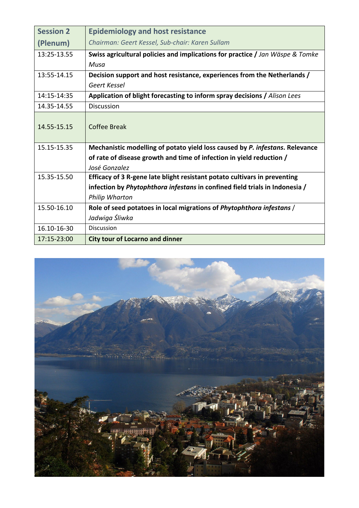| <b>Session 2</b> | <b>Epidemiology and host resistance</b>                                       |
|------------------|-------------------------------------------------------------------------------|
| (Plenum)         | Chairman: Geert Kessel, Sub-chair: Karen Sullam                               |
| 13:25-13.55      | Swiss agricultural policies and implications for practice / Jan Wäspe & Tomke |
|                  | Musa                                                                          |
| 13:55-14.15      | Decision support and host resistance, experiences from the Netherlands /      |
|                  | Geert Kessel                                                                  |
| 14:15-14:35      | Application of blight forecasting to inform spray decisions / Alison Lees     |
| 14.35-14.55      | <b>Discussion</b>                                                             |
| 14.55-15.15      | Coffee Break                                                                  |
| 15.15-15.35      | Mechanistic modelling of potato yield loss caused by P. infestans. Relevance  |
|                  | of rate of disease growth and time of infection in yield reduction /          |
|                  | José Gonzalez                                                                 |
| 15.35-15.50      | Efficacy of 3 R-gene late blight resistant potato cultivars in preventing     |
|                  | infection by Phytophthora infestans in confined field trials in Indonesia /   |
|                  | <b>Philip Wharton</b>                                                         |
| 15.50-16.10      | Role of seed potatoes in local migrations of Phytophthora infestans /         |
|                  | Jadwiga Śliwka                                                                |
| 16.10-16-30      | Discussion                                                                    |
| 17:15-23:00      | <b>City tour of Locarno and dinner</b>                                        |

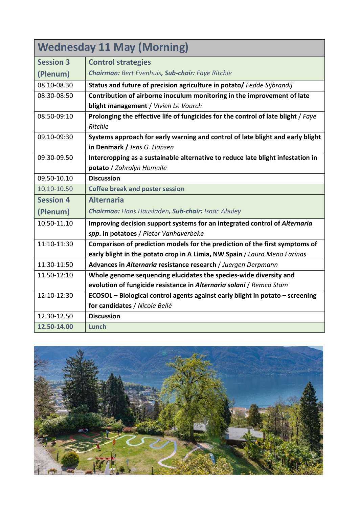| <b>Wednesday 11 May (Morning)</b> |                                                                                   |
|-----------------------------------|-----------------------------------------------------------------------------------|
| <b>Session 3</b>                  | <b>Control strategies</b>                                                         |
| (Plenum)                          | <b>Chairman: Bert Evenhuis, Sub-chair: Faye Ritchie</b>                           |
| 08.10-08.30                       | Status and future of precision agriculture in potato/ Fedde Sijbrandij            |
| 08:30-08:50                       | Contribution of airborne inoculum monitoring in the improvement of late           |
|                                   | blight management / Vivien Le Vourch                                              |
| 08:50-09:10                       | Prolonging the effective life of fungicides for the control of late blight / Faye |
|                                   | Ritchie                                                                           |
| 09.10-09:30                       | Systems approach for early warning and control of late blight and early blight    |
|                                   | in Denmark / Jens G. Hansen                                                       |
| 09:30-09.50                       | Intercropping as a sustainable alternative to reduce late blight infestation in   |
|                                   | potato / Zohralyn Homulle                                                         |
| 09.50-10.10                       | <b>Discussion</b>                                                                 |
| 10.10-10.50                       | <b>Coffee break and poster session</b>                                            |
| <b>Session 4</b>                  | <b>Alternaria</b>                                                                 |
| (Plenum)                          | Chairman: Hans Hausladen, Sub-chair: Isaac Abuley                                 |
| 10.50-11.10                       | Improving decision support systems for an integrated control of Alternaria        |
|                                   | spp. in potatoes / Pieter Vanhaverbeke                                            |
| 11:10-11:30                       | Comparison of prediction models for the prediction of the first symptoms of       |
|                                   | early blight in the potato crop in A Limia, NW Spain / Laura Meno Farinas         |
| 11:30-11:50                       | Advances in Alternaria resistance research / Juergen Derpmann                     |
| 11.50-12:10                       | Whole genome sequencing elucidates the species-wide diversity and                 |
|                                   | evolution of fungicide resistance in Alternaria solani / Remco Stam               |
| 12:10-12:30                       | ECOSOL - Biological control agents against early blight in potato - screening     |
|                                   | for candidates / Nicole Bellé                                                     |
| 12.30-12.50                       | <b>Discussion</b>                                                                 |
| 12.50-14.00                       | Lunch                                                                             |

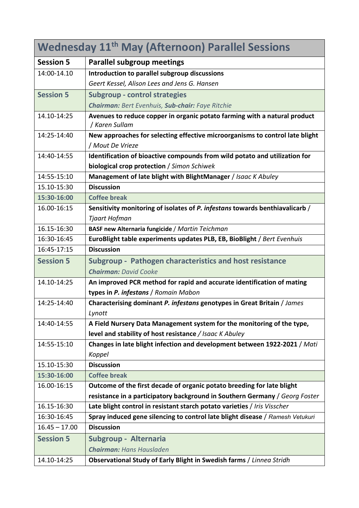| <b>Wednesday 11<sup>th</sup> May (Afternoon) Parallel Sessions</b> |                                                                                             |
|--------------------------------------------------------------------|---------------------------------------------------------------------------------------------|
| <b>Session 5</b>                                                   | <b>Parallel subgroup meetings</b>                                                           |
| 14:00-14.10                                                        | Introduction to parallel subgroup discussions                                               |
|                                                                    | Geert Kessel, Alison Lees and Jens G. Hansen                                                |
| <b>Session 5</b>                                                   | <b>Subgroup - control strategies</b>                                                        |
|                                                                    | Chairman: Bert Evenhuis, Sub-chair: Faye Ritchie                                            |
| 14.10-14:25                                                        | Avenues to reduce copper in organic potato farming with a natural product<br>/ Karen Sullam |
| 14:25-14:40                                                        | New approaches for selecting effective microorganisms to control late blight                |
|                                                                    | / Mout De Vrieze                                                                            |
| 14:40-14:55                                                        | Identification of bioactive compounds from wild potato and utilization for                  |
|                                                                    | biological crop protection / Simon Schiwek                                                  |
| 14:55-15:10                                                        | Management of late blight with BlightManager / Isaac K Abuley                               |
| 15.10-15:30                                                        | <b>Discussion</b>                                                                           |
| 15:30-16:00                                                        | <b>Coffee break</b>                                                                         |
| 16.00-16:15                                                        | Sensitivity monitoring of isolates of P. infestans towards benthiavalicarb /                |
|                                                                    | Tjaart Hofman                                                                               |
| 16.15-16:30                                                        | BASF new Alternaria fungicide / Martin Teichman                                             |
| 16:30-16:45                                                        | EuroBlight table experiments updates PLB, EB, BioBlight / Bert Evenhuis                     |
| 16:45-17:15                                                        | <b>Discussion</b>                                                                           |
| <b>Session 5</b>                                                   | Subgroup - Pathogen characteristics and host resistance                                     |
|                                                                    | <b>Chairman: David Cooke</b>                                                                |
| 14.10-14:25                                                        | An improved PCR method for rapid and accurate identification of mating                      |
|                                                                    | types in P. infestans / Romain Mabon                                                        |
| 14:25-14:40                                                        | Characterising dominant P. infestans genotypes in Great Britain / James                     |
|                                                                    | Lynott                                                                                      |
| 14:40-14:55                                                        | A Field Nursery Data Management system for the monitoring of the type,                      |
|                                                                    | level and stability of host resistance / Isaac K Abuley                                     |
| 14:55-15:10                                                        | Changes in late blight infection and development between 1922-2021 / Mati                   |
|                                                                    | Koppel                                                                                      |
| 15.10-15:30                                                        | <b>Discussion</b>                                                                           |
| 15:30-16:00                                                        | <b>Coffee break</b>                                                                         |
| 16.00-16:15                                                        | Outcome of the first decade of organic potato breeding for late blight                      |
|                                                                    | resistance in a participatory background in Southern Germany / Georg Foster                 |
| 16.15-16:30                                                        | Late blight control in resistant starch potato varieties / Iris Visscher                    |
| 16:30-16:45                                                        | Spray induced gene silencing to control late blight disease / Ramesh Vetukuri               |
| $16.45 - 17.00$                                                    | <b>Discussion</b>                                                                           |
| <b>Session 5</b>                                                   | Subgroup - Alternaria                                                                       |
|                                                                    | <b>Chairman: Hans Hausladen</b>                                                             |
| 14.10-14:25                                                        | Observational Study of Early Blight in Swedish farms / Linnea Stridh                        |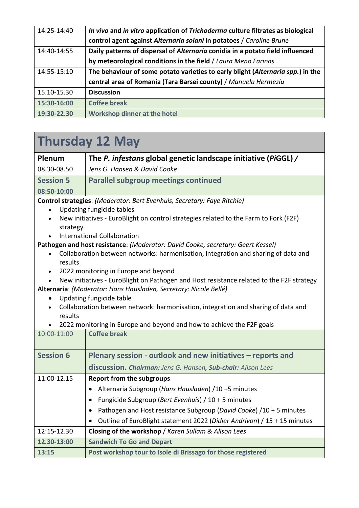| 14:25-14:40 | In vivo and in vitro application of Trichoderma culture filtrates as biological |
|-------------|---------------------------------------------------------------------------------|
|             | control agent against Alternaria solani in potatoes / Caroline Brune            |
| 14:40-14:55 | Daily patterns of dispersal of Alternaria conidia in a potato field influenced  |
|             | by meteorological conditions in the field / Laura Meno Farinas                  |
| 14:55-15:10 | The behaviour of some potato varieties to early blight (Alternaria spp.) in the |
|             | central area of Romania (Tara Barsei county) / Manuela Hermeziu                 |
| 15.10-15.30 | <b>Discussion</b>                                                               |
| 15:30-16:00 | <b>Coffee break</b>                                                             |
| 19:30-22.30 | <b>Workshop dinner at the hotel</b>                                             |

## **Thursday 12 May**

| Plenum           | The P. infestans global genetic landscape initiative (PiGGL) / |
|------------------|----------------------------------------------------------------|
| 08.30-08.50      | Jens G. Hansen & David Cooke                                   |
| <b>Session 5</b> | <b>Parallel subgroup meetings continued</b>                    |
| 08:50-10:00      |                                                                |

**Control strategies**: *(Moderator: Bert Evenhuis, Secretary: Faye Ritchie)*

- Updating fungicide tables
- New initiatives EuroBlight on control strategies related to the Farm to Fork (F2F) strategy
- International Collaboration

**Pathogen and host resistance**: *(Moderator: David Cooke, secretary: Geert Kessel)*

- Collaboration between networks: harmonisation, integration and sharing of data and results
- 2022 monitoring in Europe and beyond
- New initiatives EuroBlight on Pathogen and Host resistance related to the F2F strategy **Alternaria**: *(Moderator: Hans Hausladen, Secretary: Nicole Bellé)*
	- Updating fungicide table
	- Collaboration between network: harmonisation, integration and sharing of data and results
	- 2022 monitoring in Europe and beyond and how to achieve the F2F goals

| 10:00-11:00      | <b>Coffee break</b>                                                      |
|------------------|--------------------------------------------------------------------------|
| <b>Session 6</b> | Plenary session - outlook and new initiatives - reports and              |
|                  | discussion. Chairman: Jens G. Hansen, Sub-chair: Alison Lees             |
| 11:00-12.15      | <b>Report from the subgroups</b>                                         |
|                  | Alternaria Subgroup (Hans Hausladen) /10 +5 minutes                      |
|                  | Fungicide Subgroup (Bert Evenhuis) / 10 + 5 minutes                      |
|                  | Pathogen and Host resistance Subgroup (David Cooke) /10 + 5 minutes      |
|                  | Outline of EuroBlight statement 2022 (Didier Andrivon) / 15 + 15 minutes |
| 12:15-12.30      | Closing of the workshop / Karen Sullam & Alison Lees                     |
| 12.30-13:00      | <b>Sandwich To Go and Depart</b>                                         |
| 13:15            | Post workshop tour to Isole di Brissago for those registered             |